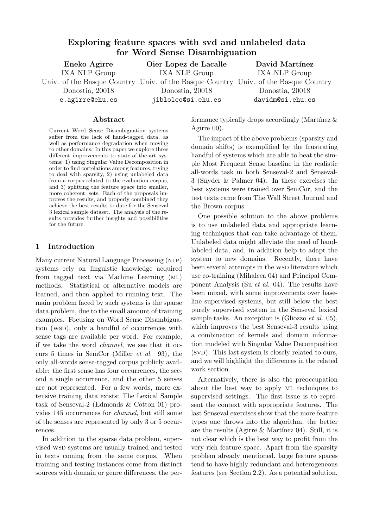# Exploring feature spaces with svd and unlabeled data for Word Sense Disambiguation

| Eneko Agirre    | Oier Lopez de Lacalle                                                               | David Martínez   |
|-----------------|-------------------------------------------------------------------------------------|------------------|
| IXA NLP Group   | IXA NLP Group                                                                       | IXA NLP Group    |
|                 | Univ. of the Basque Country Univ. of the Basque Country Univ. of the Basque Country |                  |
| Donostia, 20018 | Donostia, 20018                                                                     | Donostia, 20018  |
| e.agirre@ehu.es | jibloleo@si.ehu.es                                                                  | davidm@si.ehu.es |

#### Abstract

Current Word Sense Disambiguation systems suffer from the lack of hand-tagged data, as well as performance degradation when moving to other domains. In this paper we explore three different improvements to state-of-the-art systems: 1) using Singular Value Decomposition in order to find correlations among features, trying to deal with sparsity, 2) using unlabeled data from a corpus related to the evaluation corpus, and 3) splitting the feature space into smaller, more coherent, sets. Each of the proposals improves the results, and properly combined they achieve the best results to date for the Senseval 3 lexical sample dataset. The analysis of the results provides further insights and possibilities for the future.

## 1 Introduction

Many current Natural Language Processing (NLP) systems rely on linguistic knowledge acquired from tagged text via Machine Learning (ml) methods. Statistical or alternative models are learned, and then applied to running text. The main problem faced by such systems is the sparse data problem, due to the small amount of training examples. Focusing on Word Sense Disambiguation (WSD), only a handful of occurrences with sense tags are available per word. For example, if we take the word channel, we see that it occurs 5 times in SemCor (Miller et al. 93), the only all-words sense-tagged corpus publicly available: the first sense has four occurrences, the second a single occurrence, and the other 5 senses are not represented. For a few words, more extensive training data exists: The Lexical Sample task of Senseval-2 (Edmonds & Cotton 01) provides 145 occurrences for channel, but still some of the senses are represented by only 3 or 5 occurrences.

In addition to the sparse data problem, supervised wsd systems are usually trained and tested in texts coming from the same corpus. When training and testing instances come from distinct sources with domain or genre differences, the performance typically drops accordingly (Martínez  $\&$ Agirre 00).

The impact of the above problems (sparsity and domain shifts) is exemplified by the frustrating handful of systems which are able to beat the simple Most Frequent Sense baseline in the realistic all-words task in both Senseval-2 and Senseval-3 (Snyder & Palmer 04). In these exercises the best systems were trained over SemCor, and the test texts came from The Wall Street Journal and the Brown corpus.

One possible solution to the above problems is to use unlabeled data and appropriate learning techniques that can take advantage of them. Unlabeled data might alleviate the need of handlabeled data, and, in addition help to adapt the system to new domains. Recently, there have been several attempts in the WSD literature which use co-training (Mihalcea 04) and Principal Component Analysis (Su et al. 04). The results have been mixed, with some improvements over baseline supervised systems, but still below the best purely supervised system in the Senseval lexical sample tasks. An exception is (Gliozzo  $et$  al. 05), which improves the best Senseval-3 results using a combination of kernels and domain information modeled with Singular Value Decomposition (SVD). This last system is closely related to ours, and we will highlight the differences in the related work section.

Alternatively, there is also the preoccupation about the best way to apply ml techniques to supervised settings. The first issue is to represent the context with appropriate features. The last Senseval exercises show that the more feature types one throws into the algorithm, the better are the results (Agirre  $&$  Martínez 04). Still, it is not clear which is the best way to profit from the very rich feature space. Apart from the sparsity problem already mentioned, large feature spaces tend to have highly redundant and heterogeneous features (see Section 2.2). As a potential solution,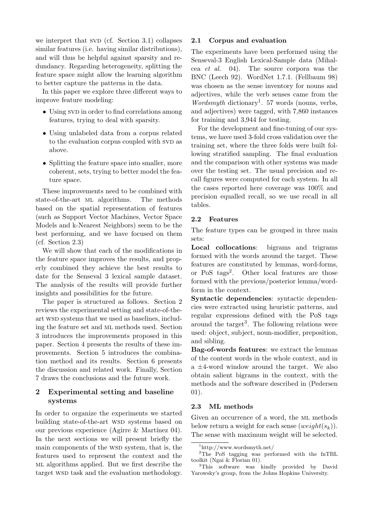we interpret that  $SVD$  (cf. Section 3.1) collapses similar features (i.e. having similar distributions), and will thus be helpful against sparsity and redundancy. Regarding heterogeneity, splitting the feature space might allow the learning algorithm to better capture the patterns in the data.

In this paper we explore three different ways to improve feature modeling:

- Using SVD in order to find correlations among features, trying to deal with sparsity.
- Using unlabeled data from a corpus related to the evaluation corpus coupled with SVD as above.
- Splitting the feature space into smaller, more coherent, sets, trying to better model the feature space.

These improvements need to be combined with state-of-the-art ml algorithms. The methods based on the spatial representation of features (such as Support Vector Machines, Vector Space Models and k-Nearest Neighbors) seem to be the best performing, and we have focused on them (cf. Section 2.3)

We will show that each of the modifications in the feature space improves the results, and properly combined they achieve the best results to date for the Senseval 3 lexical sample dataset. The analysis of the results will provide further insights and possibilities for the future.

The paper is structured as follows. Section 2 reviews the experimental setting and state-of-theart wsd systems that we used as baselines, including the feature set and ML methods used. Section 3 introduces the improvements proposed in this paper. Section 4 presents the results of these improvements. Section 5 introduces the combination method and its results. Section 6 presents the discussion and related work. Finally, Section 7 draws the conclusions and the future work.

## 2 Experimental setting and baseline systems

In order to organize the experiments we started building state-of-the-art WSD systems based on our previous experience (Agirre & Martínez 04). In the next sections we will present briefly the main components of the WSD system, that is, the features used to represent the context and the ml algorithms applied. But we first describe the target wsp task and the evaluation methodology.

## 2.1 Corpus and evaluation

The experiments have been performed using the Senseval-3 English Lexical-Sample data (Mihalcea et al. 04). The source corpora was the BNC (Leech 92). WordNet 1.7.1. (Fellbaum 98) was chosen as the sense inventory for nouns and adjectives, while the verb senses came from the Wordsmyth dictionary<sup>1</sup>. 57 words (nouns, verbs, and adjectives) were tagged, with 7,860 instances for training and 3,944 for testing.

For the development and fine-tuning of our systems, we have used 3-fold cross validation over the training set, where the three folds were built following stratified sampling. The final evaluation and the comparison with other systems was made over the testing set. The usual precision and recall figures were computed for each system. In all the cases reported here coverage was 100% and precision equalled recall, so we use recall in all tables.

## 2.2 Features

The feature types can be grouped in three main sets:

Local collocations: bigrams and trigrams formed with the words around the target. These features are constituted by lemmas, word-forms, or PoS tags<sup>2</sup>. Other local features are those formed with the previous/posterior lemma/wordform in the context.

Syntactic dependencies: syntactic dependencies were extracted using heuristic patterns, and regular expressions defined with the PoS tags around the target<sup>3</sup>. The following relations were used: object, subject, noun-modifier, preposition, and sibling.

Bag-of-words features: we extract the lemmas of the content words in the whole context, and in a  $\pm$ 4-word window around the target. We also obtain salient bigrams in the context, with the methods and the software described in (Pedersen 01).

#### 2.3 ML methods

Given an occurrence of a word, the ML methods below return a weight for each sense  $(weight(s_k)).$ The sense with maximum weight will be selected.

<sup>1</sup>http://www.wordsmyth.net/

<sup>2</sup>The PoS tagging was performed with the fnTBL toolkit (Ngai & Florian 01).

<sup>&</sup>lt;sup>3</sup>This software was kindly provided by David Yarowsky's group, from the Johns Hopkins University.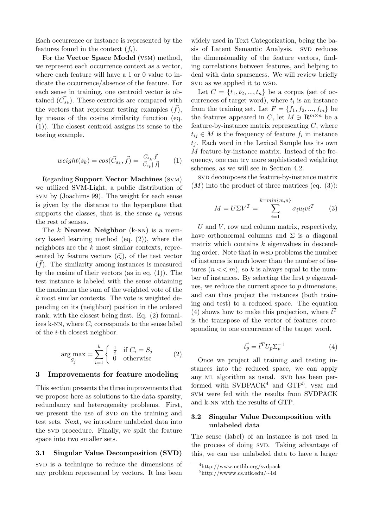Each occurrence or instance is represented by the features found in the context  $(f_i)$ .

For the Vector Space Model (vsm) method, we represent each occurrence context as a vector, where each feature will have a 1 or 0 value to indicate the occurrence/absence of the feature. For each sense in training, one centroid vector is obtained  $(\vec{C}_{s_k})$ . These centroids are compared with the vectors that represent testing examples  $(f)$ , by means of the cosine similarity function (eq. (1)). The closest centroid assigns its sense to the testing example.

$$
weight(s_k) = \cos(\vec{C}_{s_k}, \vec{f}) = \frac{\vec{C}_{s_k} \cdot \vec{f}}{|\vec{C}_{s_k}||\vec{f}|}
$$
(1)

Regarding Support Vector Machines (svm) we utilized SVM-Light, a public distribution of svm by (Joachims 99). The weight for each sense is given by the distance to the hyperplane that supports the classes, that is, the sense  $s_k$  versus the rest of senses.

The  $k$  **Nearest Neighbor** (k-NN) is a memory based learning method (eq. (2)), where the neighbors are the k most similar contexts, represented by feature vectors  $(\vec{c}_i)$ , of the test vector  $(\vec{f})$ . The similarity among instances is measured by the cosine of their vectors (as in eq.  $(1)$ ). The test instance is labeled with the sense obtaining the maximum the sum of the weighted vote of the k most similar contexts. The vote is weighted depending on its (neighbor) position in the ordered rank, with the closest being first. Eq. (2) formalizes k-NN, where  $C_i$  corresponds to the sense label of the i-th closest neighbor.

$$
\arg\max_{S_j} = \sum_{i=1}^k \begin{cases} \frac{1}{i} & \text{if } C_i = S_j \\ 0 & \text{otherwise} \end{cases}
$$
 (2)

#### 3 Improvements for feature modeling

This section presents the three improvements that we propose here as solutions to the data sparsity, redundancy and heterogeneity problems. First, we present the use of SVD on the training and test sets. Next, we introduce unlabeled data into the svD procedure. Finally, we split the feature space into two smaller sets.

## 3.1 Singular Value Decomposition (SVD)

sv<sub>D</sub> is a technique to reduce the dimensions of any problem represented by vectors. It has been

widely used in Text Categorization, being the basis of Latent Semantic Analysis. SVD reduces the dimensionality of the feature vectors, finding correlations between features, and helping to deal with data sparseness. We will review briefly svD as we applied it to WSD.

Let  $C = \{t_1, t_2, ..., t_n\}$  be a corpus (set of occurrences of target word), where  $t_i$  is an instance from the training set. Let  $F = \{f_1, f_2, ..., f_m\}$  be the features appeared in C, let  $M \ni \mathbf{R}^{m \times n}$  be a feature-by-instance matrix representing  $C$ , where  $t_{ij} \in M$  is the frequency of feature  $f_i$  in instance  $t_i$ . Each word in the Lexical Sample has its own M feature-by-instance matrix. Instead of the frequency, one can try more sophisticated weighting schemes, as we will see in Section 4.2.

sv<sub>D</sub> decomposes the feature-by-instance matrix  $(M)$  into the product of three matrices (eq.  $(3)$ ):

$$
M = U\Sigma V^T = \sum_{i=1}^{k=\min\{m,n\}} \sigma_i u_i v i^T \qquad (3)
$$

 $U$  and  $V$ , row and column matrix, respectively, have orthonormal columns and  $\Sigma$  is a diagonal matrix which contains  $k$  eigenvalues in descending order. Note that in WSD problems the number of instances is much lower than the number of features  $(n << m)$ , so k is always equal to the number of instances. By selecting the first  $p$  eigenvalues, we reduce the current space to p dimensions, and can thus project the instances (both training and test) to a reduced space. The equation (4) shows how to make this projection, where  $\vec{t}^T$ is the transpose of the vector of features corresponding to one occurrence of the target word.

$$
\vec{t_p} = \vec{t}^T U_p \Sigma_p^{-1} \tag{4}
$$

Once we project all training and testing instances into the reduced space, we can apply any ML algorithm as usual. SVD has been performed with SVDPACK<sup>4</sup> and GTP<sup>5</sup>. VSM and svm were fed with the results from SVDPACK and k-nn with the results of GTP.

## 3.2 Singular Value Decomposition with unlabeled data

The sense (label) of an instance is not used in the process of doing SVD. Taking advantage of this, we can use unlabeled data to have a larger

<sup>4</sup>http://www.netlib.org/svdpack

<sup>5</sup>http://wwww.cs.utk.edu/∼lsi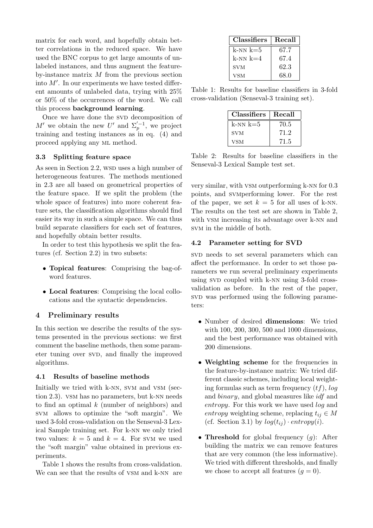matrix for each word, and hopefully obtain better correlations in the reduced space. We have used the BNC corpus to get large amounts of unlabeled instances, and thus augment the featureby-instance matrix M from the previous section into  $M'$ . In our experiments we have tested different amounts of unlabeled data, trying with 25% or 50% of the occurrences of the word. We call this process background learning.

Once we have done the SVD decomposition of M' we obtain the new U' and  $\Sigma_p^{\prime-1}$ , we project training and testing instances as in eq. (4) and proceed applying any ml method.

## 3.3 Splitting feature space

As seen in Section 2.2, wsp uses a high number of heterogeneous features. The methods mentioned in 2.3 are all based on geometrical properties of the feature space. If we split the problem (the whole space of features) into more coherent feature sets, the classification algorithms should find easier its way in such a simple space. We can thus build separate classifiers for each set of features, and hopefully obtain better results.

In order to test this hypothesis we split the features (cf. Section 2.2) in two subsets:

- Topical features: Comprising the bag-ofword features.
- Local features: Comprising the local collocations and the syntactic dependencies.

## 4 Preliminary results

In this section we describe the results of the systems presented in the previous sections: we first comment the baseline methods, then some parameter tuning over SVD, and finally the improved algorithms.

## 4.1 Results of baseline methods

Initially we tried with k-nn, svm and vsm (section 2.3). vsm has no parameters, but k-nn needs to find an optimal  $k$  (number of neighbors) and svm allows to optimize the "soft margin". We used 3-fold cross-validation on the Senseval-3 Lexical Sample training set. For k-nn we only tried two values:  $k = 5$  and  $k = 4$ . For SVM we used the "soft margin" value obtained in previous experiments.

Table 1 shows the results from cross-validation. We can see that the results of VSM and k-NN are

| <b>Classifiers</b> | Recall |
|--------------------|--------|
| k-nn k=5           | 67.7   |
| $k$ -NN $k$ =4     | 67.4   |
| <b>SVM</b>         | 62.3   |
| VSM                | 68.0   |

Table 1: Results for baseline classifiers in 3-fold cross-validation (Senseval-3 training set).

| <b>Classifiers</b> | Recall |
|--------------------|--------|
| $k$ -NN $k=5$      | 70.5   |
| <b>SVM</b>         | 71.2   |
| <b>VSM</b>         | 71.5   |

Table 2: Results for baseline classifiers in the Senseval-3 Lexical Sample test set.

very similar, with vsm outperforming k-nn for 0.3 points, and svmperforming lower. For the rest of the paper, we set  $k = 5$  for all uses of k-NN. The results on the test set are shown in Table 2, with VSM increasing its advantage over k-NN and svm in the middle of both.

## 4.2 Parameter setting for SVD

svD needs to set several parameters which can affect the performance. In order to set those parameters we run several preliminary experiments using SVD coupled with k-NN using 3-fold crossvalidation as before. In the rest of the paper, svD was performed using the following parameters:

- Number of desired dimensions: We tried with 100, 200, 300, 500 and 1000 dimensions, and the best performance was obtained with 200 dimensions.
- Weighting scheme for the frequencies in the feature-by-instance matrix: We tried different classic schemes, including local weighting formulas such as term frequency  $(tf)$ ,  $log$ and binary, and global measures like idf and entropy. For this work we have used log and entropy weighting scheme, replacing  $t_{ij} \in M$ (cf. Section 3.1) by  $log(t_{ij}) \cdot entropy(i)$ .
- Threshold for global frequency  $(g)$ : After building the matrix we can remove features that are very common (the less informative). We tried with different thresholds, and finally we chose to accept all features  $(g = 0)$ .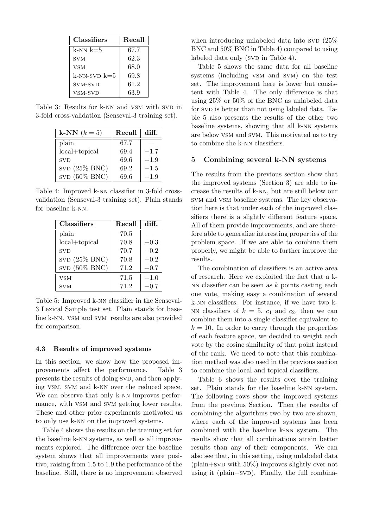| <b>Classifiers</b> | Recall |
|--------------------|--------|
| $k$ -NN $k=5$      | 67.7   |
| <b>SVM</b>         | 62.3   |
| <b>VSM</b>         | 68.0   |
| $k$ -NN-SVD $k=5$  | 69.8   |
| SVM-SVD            | 61.2   |
| VSM-SVD            | 63.9   |

Table 3: Results for k-NN and VSM with SVD in 3-fold cross-validation (Senseval-3 training set).

| k-NN $(k=5)$     | Recall | diff.  |
|------------------|--------|--------|
| plain            | 67.7   |        |
| $local+topical$  | 69.4   | $+1.7$ |
| <b>SVD</b>       | 69.6   | $+1.9$ |
| $SVD$ (25% BNC)  | 69.2   | $+1.5$ |
| SVD $(50\%$ BNC) | 69.6   | $+1.9$ |

Table 4: Improved k-nn classifier in 3-fold crossvalidation (Senseval-3 training set). Plain stands for baseline k-nn.

| <b>Classifiers</b> | Recall | diff.  |
|--------------------|--------|--------|
| plain              | 70.5   |        |
| $local+topical$    | 70.8   | $+0.3$ |
| <b>SVD</b>         | 70.7   | $+0.2$ |
| $SVD$ (25% BNC)    | 70.8   | $+0.2$ |
| SVD $(50\%$ BNC)   | 71.2   | $+0.7$ |
| <b>VSM</b>         | 71.5   | $+1.0$ |
| <b>SVM</b>         | 71.2   | -0.7   |

Table 5: Improved k-nn classifier in the Senseval-3 Lexical Sample test set. Plain stands for baseline k-nn. vsm and svm results are also provided for comparison.

#### 4.3 Results of improved systems

In this section, we show how the proposed improvements affect the performance. Table 3 presents the results of doing SVD, and then applying vsm, svm and k-nn over the reduced space. We can observe that only k-NN improves performance, with vsm and svm getting lower results. These and other prior experiments motivated us to only use k-nn on the improved systems.

Table 4 shows the results on the training set for the baseline k-nn systems, as well as all improvements explored. The difference over the baseline system shows that all improvements were positive, raising from 1.5 to 1.9 the performance of the baseline. Still, there is no improvement observed

when introducing unlabeled data into  $SVD$  (25%) BNC and 50% BNC in Table 4) compared to using labeled data only (SVD in Table 4).

Table 5 shows the same data for all baseline systems (including vsm and svm) on the test set. The improvement here is lower but consistent with Table 4. The only difference is that using 25% or 50% of the BNC as unlabeled data for SVD is better than not using labeled data. Table 5 also presents the results of the other two baseline systems, showing that all k-nn systems are below vsm and svm. This motivated us to try to combine the k-nn classifiers.

#### 5 Combining several k-NN systems

The results from the previous section show that the improved systems (Section 3) are able to increase the results of k-nn, but are still below our svm and vsm baseline systems. The key observation here is that under each of the improved classifiers there is a slightly different feature space. All of them provide improvements, and are therefore able to generalize interesting properties of the problem space. If we are able to combine them properly, we might be able to further improve the results.

The combination of classifiers is an active area of research. Here we exploited the fact that a k-NN classifier can be seen as  $k$  points casting each one vote, making easy a combination of several k-nn classifiers. For instance, if we have two k-NN classifiers of  $k = 5$ ,  $c_1$  and  $c_2$ , then we can combine them into a single classifier equivalent to  $k = 10$ . In order to carry through the properties of each feature space, we decided to weight each vote by the cosine similarity of that point instead of the rank. We need to note that this combination method was also used in the previous section to combine the local and topical classifiers.

Table 6 shows the results over the training set. Plain stands for the baseline k-nn system. The following rows show the improved systems from the previous Section. Then the results of combining the algorithms two by two are shown, where each of the improved systems has been combined with the baseline k-nn system. The results show that all combinations attain better results than any of their components. We can also see that, in this setting, using unlabeled data  $(\text{plain+SVD with } 50\%)$  improves slightly over not using it (plain+sv<sub>D</sub>). Finally, the full combina-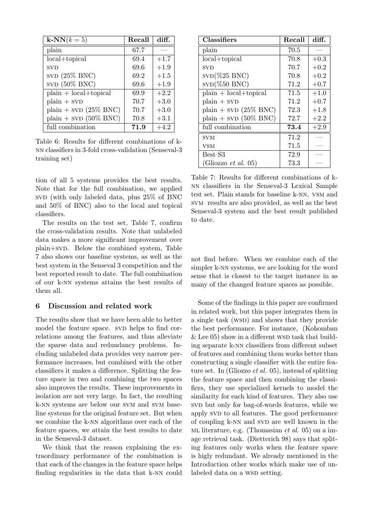| $k-NN(k=5)$              | Recall | diff.  |
|--------------------------|--------|--------|
| plain                    | 67.7   |        |
| $local+topical$          | 69.4   | $+1.7$ |
| <b>SVD</b>               | 69.6   | $+1.9$ |
| SVD $(25\%$ BNC)         | 69.2   | $+1.5$ |
| SVD $(50\% \, BNC)$      | 69.6   | $+1.9$ |
| $plain + local+topical$  | 69.9   | $+2.2$ |
| $plain + svD$            | 70.7   | $+3.0$ |
| $plain + svD (25\% BNC)$ | 70.7   | $+3.0$ |
| plain + $SVD$ (50% BNC)  | 70.8   | $+3.1$ |
| full combination         | 71.9   | $+4.2$ |

Table 6: Results for different combinations of knn classifiers in 3-fold cross-validation (Senseval-3 training set)

tion of all 5 systems provides the best results. Note that for the full combination, we applied svD (with only labeled data, plus  $25\%$  of BNC and 50% of BNC) also to the local and topical classifiers.

The results on the test set, Table 7, confirm the cross-validation results. Note that unlabeled data makes a more significant improvement over plain+svD. Below the combined system, Table 7 also shows our baseline systems, as well as the best system in the Senseval 3 competition and the best reported result to date. The full combination of our k-nn systems attains the best results of them all.

#### 6 Discussion and related work

The results show that we have been able to better model the feature space. SVD helps to find correlations among the features, and thus alleviate the sparse data and redundancy problems. Including unlabeled data provides very narrow performance increases, but combined with the other classifiers it makes a difference. Splitting the feature space in two and combining the two spaces also improves the results. These improvements in isolation are not very large. In fact, the resulting k-nn systems are below our svm and svm baseline systems for the original feature set. But when we combine the k-nn algorithms over each of the feature spaces, we attain the best results to date in the Senseval-3 dataset.

We think that the reason explaining the extraordinary performance of the combination is that each of the changes in the feature space helps finding regularities in the data that k-nn could

| <b>Classifiers</b>         | Recall | diff.  |
|----------------------------|--------|--------|
| plain                      | 70.5   |        |
| $local+topical$            | 70.8   | $+0.3$ |
| <b>SVD</b>                 | 70.7   | $+0.2$ |
| $SVD(\%25 BNC)$            | 70.8   | $+0.2$ |
| $SVD$ (%50 BNC)            | 71.2   | $+0.7$ |
| $plain + local+topical$    | 71.5   | $+1.0$ |
| $plain + svD$              | 71.2   | $+0.7$ |
| $plain + svD (25\% BNC)$   | 72.3   | $+1.8$ |
| plain + $SVD$ (50% BNC)    | 72.7   | $+2.2$ |
| full combination           | 73.4   | $+2.9$ |
| <b>SVM</b>                 | 71.2   |        |
| VSM                        | 71.5   |        |
| Best S3                    | 72.9   |        |
| (Gliozzo <i>et al.</i> 05) | 73.3   |        |

Table 7: Results for different combinations of knn classifiers in the Senseval-3 Lexical Sample test set. Plain stands for baseline k-nn. vsm and svm results are also provided, as well as the best Senseval-3 system and the best result published to date.

not find before. When we combine each of the simpler k-nn systems, we are looking for the word sense that is closest to the target instance in as many of the changed feature spaces as possible.

Some of the findings in this paper are confirmed in related work, but this paper integrates them in a single task (WSD) and shows that they provide the best performance. For instance, (Kohomban  $&$  Lee 05) show in a different WSD task that building separate k-nn classifiers from different subset of features and combining them works better than constructing a single classifier with the entire feature set. In (Gliozzo et al. 05), instead of splitting the feature space and then combining the classifiers, they use specialized kernels to model the similarity for each kind of features. They also use sv<sub>D</sub> but only for bag-of-words features, while we apply SVD to all features. The good performance of coupling k-NN and SVD are well known in the ML literature, e.g. (Thomasian *et al.* 05) on a image retrieval task. (Dietterich 98) says that spliting features only works when the feature space is higly redundant. We already mentioned in the Introduction other works which make use of unlabeled data on a WSD setting.